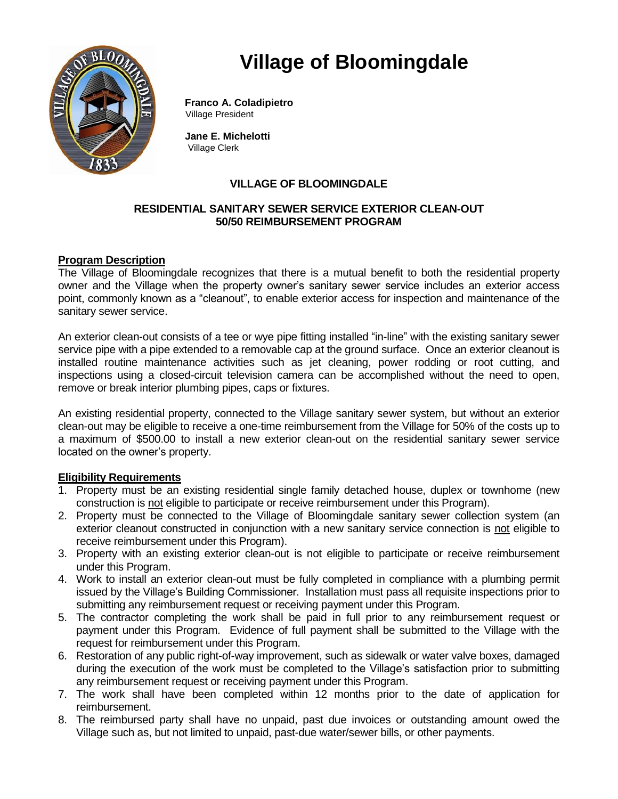# **Village of Bloomingdale**



 **Franco A. Coladipietro** Village President

 **Jane E. Michelotti** Village Clerk

## **VILLAGE OF BLOOMINGDALE**

### **RESIDENTIAL SANITARY SEWER SERVICE EXTERIOR CLEAN-OUT 50/50 REIMBURSEMENT PROGRAM**

## **Program Description**

The Village of Bloomingdale recognizes that there is a mutual benefit to both the residential property owner and the Village when the property owner's sanitary sewer service includes an exterior access point, commonly known as a "cleanout", to enable exterior access for inspection and maintenance of the sanitary sewer service.

An exterior clean-out consists of a tee or wye pipe fitting installed "in-line" with the existing sanitary sewer service pipe with a pipe extended to a removable cap at the ground surface. Once an exterior cleanout is installed routine maintenance activities such as jet cleaning, power rodding or root cutting, and inspections using a closed-circuit television camera can be accomplished without the need to open, remove or break interior plumbing pipes, caps or fixtures.

An existing residential property, connected to the Village sanitary sewer system, but without an exterior clean-out may be eligible to receive a one-time reimbursement from the Village for 50% of the costs up to a maximum of \$500.00 to install a new exterior clean-out on the residential sanitary sewer service located on the owner's property.

#### **Eligibility Requirements**

- 1. Property must be an existing residential single family detached house, duplex or townhome (new construction is not eligible to participate or receive reimbursement under this Program).
- 2. Property must be connected to the Village of Bloomingdale sanitary sewer collection system (an exterior cleanout constructed in conjunction with a new sanitary service connection is not eligible to receive reimbursement under this Program).
- 3. Property with an existing exterior clean-out is not eligible to participate or receive reimbursement under this Program.
- 4. Work to install an exterior clean-out must be fully completed in compliance with a plumbing permit issued by the Village's Building Commissioner. Installation must pass all requisite inspections prior to submitting any reimbursement request or receiving payment under this Program.
- 5. The contractor completing the work shall be paid in full prior to any reimbursement request or payment under this Program. Evidence of full payment shall be submitted to the Village with the request for reimbursement under this Program.
- 6. Restoration of any public right-of-way improvement, such as sidewalk or water valve boxes, damaged during the execution of the work must be completed to the Village's satisfaction prior to submitting any reimbursement request or receiving payment under this Program.
- 7. The work shall have been completed within 12 months prior to the date of application for reimbursement.
- 8. The reimbursed party shall have no unpaid, past due invoices or outstanding amount owed the Village such as, but not limited to unpaid, past-due water/sewer bills, or other payments.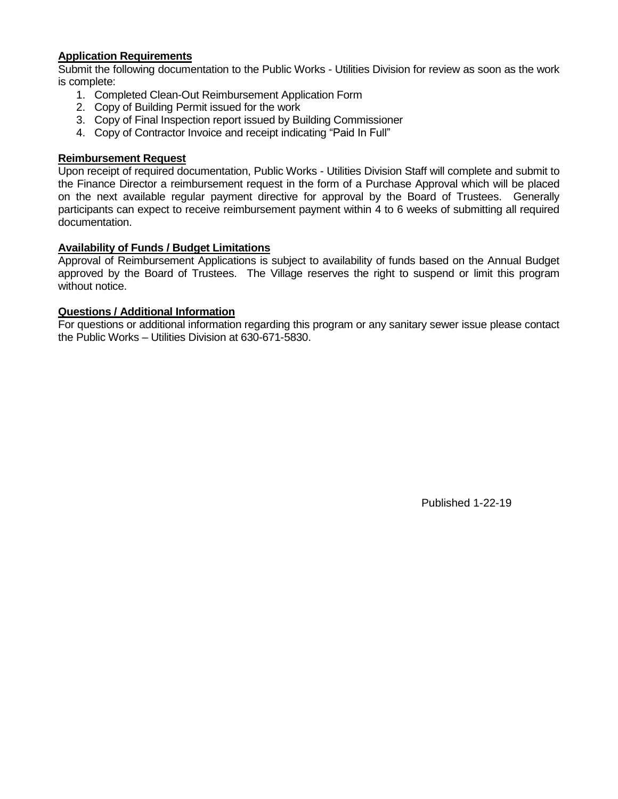#### **Application Requirements**

Submit the following documentation to the Public Works - Utilities Division for review as soon as the work is complete:

- 1. Completed Clean-Out Reimbursement Application Form
- 2. Copy of Building Permit issued for the work
- 3. Copy of Final Inspection report issued by Building Commissioner
- 4. Copy of Contractor Invoice and receipt indicating "Paid In Full"

#### **Reimbursement Request**

Upon receipt of required documentation, Public Works - Utilities Division Staff will complete and submit to the Finance Director a reimbursement request in the form of a Purchase Approval which will be placed on the next available regular payment directive for approval by the Board of Trustees. Generally participants can expect to receive reimbursement payment within 4 to 6 weeks of submitting all required documentation.

#### **Availability of Funds / Budget Limitations**

Approval of Reimbursement Applications is subject to availability of funds based on the Annual Budget approved by the Board of Trustees. The Village reserves the right to suspend or limit this program without notice.

#### **Questions / Additional Information**

For questions or additional information regarding this program or any sanitary sewer issue please contact the Public Works – Utilities Division at 630-671-5830.

Published 1-22-19